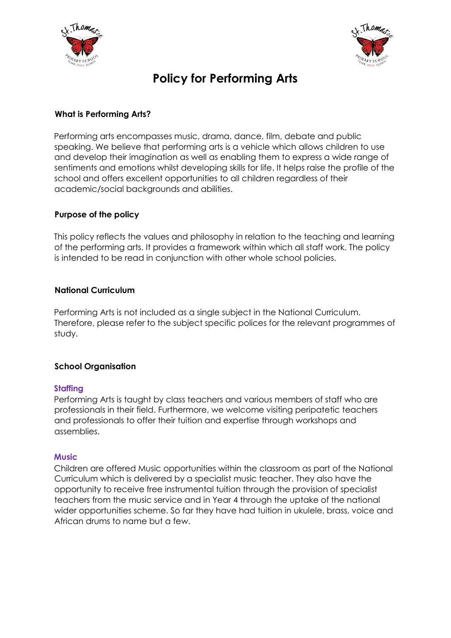



# **Policy for Performing Arts**

# **What is Performing Arts?**

Performing arts encompasses music, drama, dance, film, debate and public speaking. We believe that performing arts is a vehicle which allows children to use and develop their imagination as well as enabling them to express a wide range of sentiments and emotions whilst developing skills for life. It helps raise the profile of the school and offers excellent opportunities to all children regardless of their academic/social backgrounds and abilities.

# **Purpose of the policy**

This policy reflects the values and philosophy in relation to the teaching and learning of the performing arts. It provides a framework within which all staff work. The policy is intended to be read in conjunction with other whole school policies.

## **National Curriculum**

Performing Arts is not included as a single subject in the National Curriculum. Therefore, please refer to the subject specific polices for the relevant programmes of study.

## **School Organisation**

## **Staffing**

Performing Arts is taught by class teachers and various members of staff who are professionals in their field. Furthermore, we welcome visiting peripatetic teachers and professionals to offer their tuition and expertise through workshops and assemblies.

## **Music**

Children are offered Music opportunities within the classroom as part of the National Curriculum which is delivered by a specialist music teacher. They also have the opportunity to receive free instrumental tuition through the provision of specialist teachers from the music service and in Year 4 through the uptake of the national wider opportunities scheme. So far they have had tuition in ukulele, brass, voice and African drums to name but a few.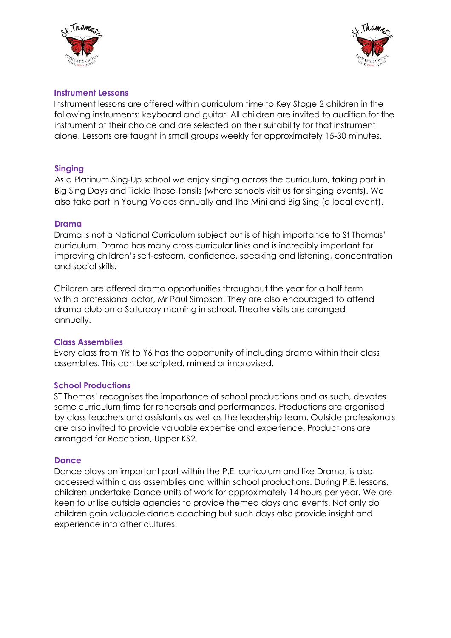



#### **Instrument Lessons**

Instrument lessons are offered within curriculum time to Key Stage 2 children in the following instruments: keyboard and guitar. All children are invited to audition for the instrument of their choice and are selected on their suitability for that instrument alone. Lessons are taught in small groups weekly for approximately 15-30 minutes.

#### **Singing**

As a Platinum Sing-Up school we enjoy singing across the curriculum, taking part in Big Sing Days and Tickle Those Tonsils (where schools visit us for singing events). We also take part in Young Voices annually and The Mini and Big Sing (a local event).

#### **Drama**

Drama is not a National Curriculum subject but is of high importance to St Thomas' curriculum. Drama has many cross curricular links and is incredibly important for improving children's self-esteem, confidence, speaking and listening, concentration and social skills.

Children are offered drama opportunities throughout the year for a half term with a professional actor, Mr Paul Simpson. They are also encouraged to attend drama club on a Saturday morning in school. Theatre visits are arranged annually.

#### **Class Assemblies**

Every class from YR to Y6 has the opportunity of including drama within their class assemblies. This can be scripted, mimed or improvised.

#### **School Productions**

ST Thomas' recognises the importance of school productions and as such, devotes some curriculum time for rehearsals and performances. Productions are organised by class teachers and assistants as well as the leadership team. Outside professionals are also invited to provide valuable expertise and experience. Productions are arranged for Reception, Upper KS2.

#### **Dance**

Dance plays an important part within the P.E. curriculum and like Drama, is also accessed within class assemblies and within school productions. During P.E. lessons, children undertake Dance units of work for approximately 14 hours per year. We are keen to utilise outside agencies to provide themed days and events. Not only do children gain valuable dance coaching but such days also provide insight and experience into other cultures.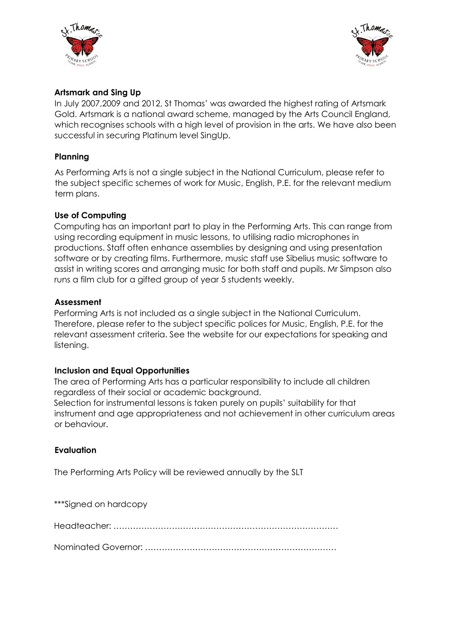



# **Artsmark and Sing Up**

In July 2007,2009 and 2012, St Thomas' was awarded the highest rating of Artsmark Gold. Artsmark is a national award scheme, managed by the Arts Council England, which recognises schools with a high level of provision in the arts. We have also been successful in securing Platinum level SingUp.

### **Planning**

As Performing Arts is not a single subject in the National Curriculum, please refer to the subject specific schemes of work for Music, English, P.E. for the relevant medium term plans.

## **Use of Computing**

Computing has an important part to play in the Performing Arts. This can range from using recording equipment in music lessons, to utilising radio microphones in productions. Staff often enhance assemblies by designing and using presentation software or by creating films. Furthermore, music staff use Sibelius music software to assist in writing scores and arranging music for both staff and pupils. Mr Simpson also runs a film club for a gifted group of year 5 students weekly.

#### **Assessment**

Performing Arts is not included as a single subject in the National Curriculum. Therefore, please refer to the subject specific polices for Music, English, P.E. for the relevant assessment criteria. See the website for our expectations for speaking and listening.

#### **Inclusion and Equal Opportunities**

The area of Performing Arts has a particular responsibility to include all children regardless of their social or academic background. Selection for instrumental lessons is taken purely on pupils' suitability for that instrument and age appropriateness and not achievement in other curriculum areas or behaviour.

## **Evaluation**

The Performing Arts Policy will be reviewed annually by the SLT

| ***Signed on hardcopy |
|-----------------------|
|                       |
|                       |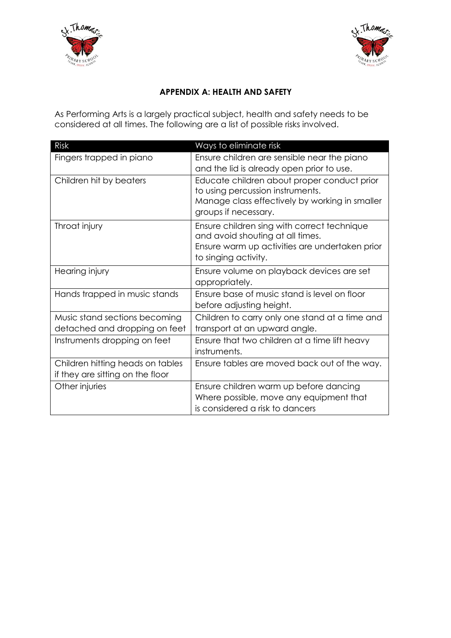



# **APPENDIX A: HEALTH AND SAFETY**

As Performing Arts is a largely practical subject, health and safety needs to be considered at all times. The following are a list of possible risks involved.

| Risk                                                                 | Ways to eliminate risk                                                                                                                                    |
|----------------------------------------------------------------------|-----------------------------------------------------------------------------------------------------------------------------------------------------------|
| Fingers trapped in piano                                             | Ensure children are sensible near the piano<br>and the lid is already open prior to use.                                                                  |
| Children hit by beaters                                              | Educate children about proper conduct prior<br>to using percussion instruments.<br>Manage class effectively by working in smaller<br>groups if necessary. |
| Throat injury                                                        | Ensure children sing with correct technique<br>and avoid shouting at all times.<br>Ensure warm up activities are undertaken prior<br>to singing activity. |
| Hearing injury                                                       | Ensure volume on playback devices are set<br>appropriately.                                                                                               |
| Hands trapped in music stands                                        | Ensure base of music stand is level on floor<br>before adjusting height.                                                                                  |
| Music stand sections becoming<br>detached and dropping on feet       | Children to carry only one stand at a time and<br>transport at an upward angle.                                                                           |
| Instruments dropping on feet                                         | Ensure that two children at a time lift heavy<br>instruments.                                                                                             |
| Children hitting heads on tables<br>if they are sitting on the floor | Ensure tables are moved back out of the way.                                                                                                              |
| Other injuries                                                       | Ensure children warm up before dancing<br>Where possible, move any equipment that<br>is considered a risk to dancers                                      |